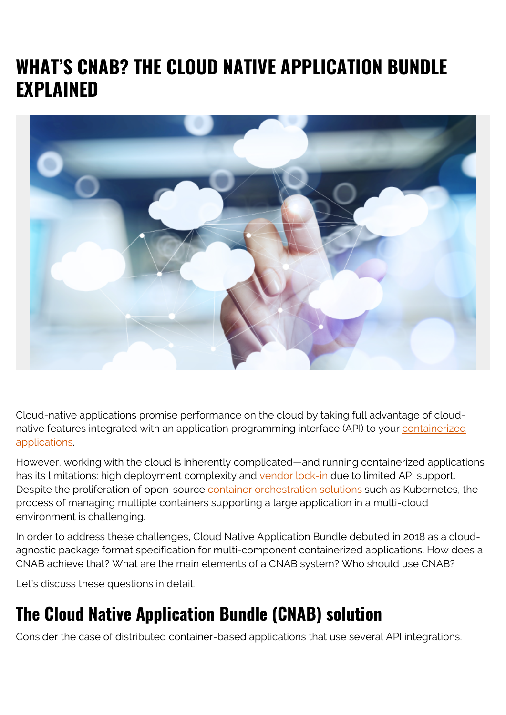# **WHAT'S CNAB? THE CLOUD NATIVE APPLICATION BUNDLE EXPLAINED**



Cloud-native applications promise performance on the cloud by taking full advantage of cloudnative features integrated with an application programming interface (API) to your [containerized](https://blogs.bmc.com/blogs/what-is-a-container-containerization-explained/) [applications.](https://blogs.bmc.com/blogs/what-is-a-container-containerization-explained/)

However, working with the cloud is inherently complicated—and running containerized applications has its limitations: high deployment complexity and [vendor lock-in](https://blogs.bmc.com/blogs/vendor-lock-in/) due to limited API support. Despite the proliferation of open-source [container orchestration solutions](https://blogs.bmc.com/blogs/kubernetes-vs-docker-swarm/) such as Kubernetes, the process of managing multiple containers supporting a large application in a multi-cloud environment is challenging.

In order to address these challenges, Cloud Native Application Bundle debuted in 2018 as a cloudagnostic package format specification for multi-component containerized applications. How does a CNAB achieve that? What are the main elements of a CNAB system? Who should use CNAB?

Let's discuss these questions in detail.

# **The Cloud Native Application Bundle (CNAB) solution**

Consider the case of distributed container-based applications that use several API integrations.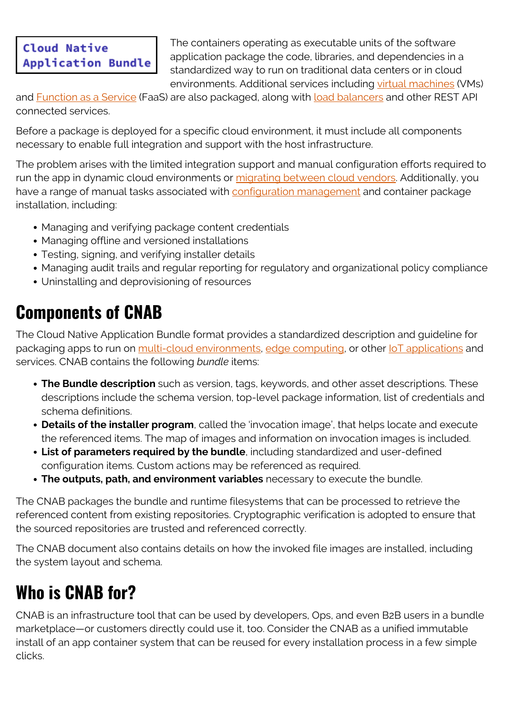#### **Cloud Native Application Bundle**

The containers operating as executable units of the software application package the code, libraries, and dependencies in a standardized way to run on traditional data centers or in cloud environments. Additional services including [virtual machines](https://blogs.bmc.com/blogs/containers-vs-virtual-machines/) (VMs)

and [Function as a Service](https://blogs.bmc.com/blogs/faas-function-as-a-service/) (FaaS) are also packaged, along with [load balancers](https://blogs.bmc.com/blogs/load-balancing/) and other REST API connected services.

Before a package is deployed for a specific cloud environment, it must include all components necessary to enable full integration and support with the host infrastructure.

The problem arises with the limited integration support and manual configuration efforts required to run the app in dynamic cloud environments or [migrating between cloud vendors.](https://blogs.bmc.com/it-solutions/multi-cloud-adoption-and-migration.html) Additionally, you have a range of manual tasks associated with [configuration management](https://blogs.bmc.com/blogs/configuration-management/) and container package installation, including:

- Managing and verifying package content credentials
- Managing offline and versioned installations
- Testing, signing, and verifying installer details
- Managing audit trails and regular reporting for regulatory and organizational policy compliance
- Uninstalling and deprovisioning of resources

# **Components of CNAB**

The Cloud Native Application Bundle format provides a standardized description and guideline for packaging apps to run on [multi-cloud environments,](https://blogs.bmc.com/blogs/multi-cloud-strategy/) [edge computing,](https://blogs.bmc.com/blogs/edge-computing/) or other loT applications and services. CNAB contains the following *bundle* items:

- **The Bundle description** such as version, tags, keywords, and other asset descriptions. These descriptions include the schema version, top-level package information, list of credentials and schema definitions.
- **Details of the installer program**, called the 'invocation image', that helps locate and execute the referenced items. The map of images and information on invocation images is included.
- **List of parameters required by the bundle**, including standardized and user-defined configuration items. Custom actions may be referenced as required.
- **The outputs, path, and environment variables** necessary to execute the bundle.

The CNAB packages the bundle and runtime filesystems that can be processed to retrieve the referenced content from existing repositories. Cryptographic verification is adopted to ensure that the sourced repositories are trusted and referenced correctly.

The CNAB document also contains details on how the invoked file images are installed, including the system layout and schema.

## **Who is CNAB for?**

CNAB is an infrastructure tool that can be used by developers, Ops, and even B2B users in a bundle marketplace—or customers directly could use it, too. Consider the CNAB as a unified immutable install of an app container system that can be reused for every installation process in a few simple clicks.